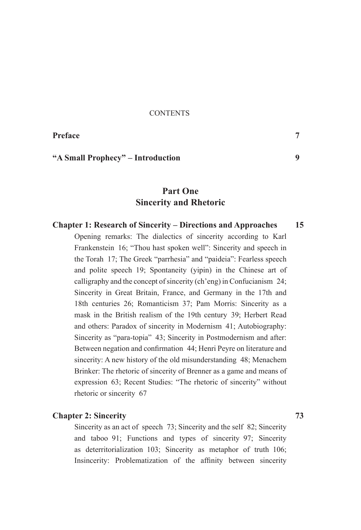#### **CONTENTS**

Preface

# "A Small Prophecy" – Introduction

# Part One **Sincerity and Rhetoric**

#### **Chapter 1: Research of Sincerity – Directions and Approaches** 15

Opening remarks: The dialectics of sincerity according to Karl Frankenstein 16; "Thou hast spoken well": Sincerity and speech in the Torah 17: The Greek "parrhesia" and "paideia": Fearless speech and polite speech 19: Spontaneity (vipin) in the Chinese art of calligraphy and the concept of sincerity (ch'eng) in Confucianism 24; Sincerity in Great Britain, France, and Germany in the 17th and 18th centuries 26; Romanticism 37; Pam Morris: Sincerity as a mask in the British realism of the 19th century 39; Herbert Read and others: Paradox of sincerity in Modernism 41; Autobiography: Sincerity as "para-topia" 43; Sincerity in Postmodernism and after: Between negation and confirmation 44; Henri Peyre on literature and sincerity: A new history of the old misunderstanding 48; Menachem Brinker: The rhetoric of sincerity of Brenner as a game and means of expression 63; Recent Studies: "The rhetoric of sincerity" without rhetoric or sincerity 67

### **Chapter 2: Sincerity**

Sincerity as an act of speech 73; Sincerity and the self 82; Sincerity and taboo 91; Functions and types of sincerity 97; Sincerity as deterritorialization 103; Sincerity as metaphor of truth 106; Insincerity: Problematization of the affinity between sincerity

73

 $\overline{7}$ 

 $\boldsymbol{Q}$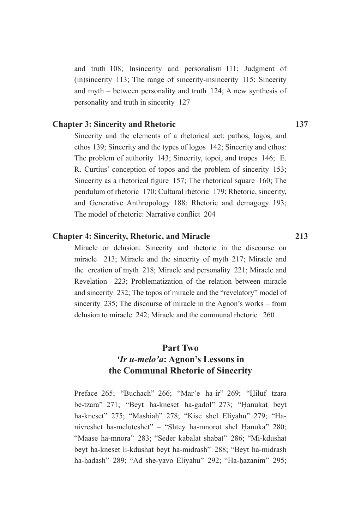and truth 108; Insincerity and personalism 111; Judgment of (in)sincerity 113; The range of sincerity-insincerity 115; Sincerity and myth  $-$  between personality and truth 124; A new synthesis of personality and truth in sincerity 127

# **Chapter 3: Sincerity and Rhetoric**

Sincerity and the elements of a rhetorical act: pathos, logos, and ethos 139; Sincerity and the types of logos 142; Sincerity and ethos: The problem of authority 143; Sincerity, topoi, and tropes 146; E. R. Curtius' conception of topos and the problem of sincerity 153; Sincerity as a rhetorical figure 157; The rhetorical square 160; The pendulum of rhetoric 170; Cultural rhetoric 179; Rhetoric, sincerity, and Generative Anthropology 188; Rhetoric and demagogy 193; The model of rhetoric: Narrative conflict 204

## **Chapter 4: Sincerity, Rhetoric, and Miracle**

Miracle or delusion: Sincerity and rhetoric in the discourse on miracle 213: Miracle and the sincerity of myth 217: Miracle and the creation of myth 218; Miracle and personality 221; Miracle and Revelation 223; Problematization of the relation between miracle and sincerity 232; The topos of miracle and the "revelatory" model of sincerity 235: The discourse of miracle in the Agnon's works – from delusion to miracle 242; Miracle and the communal rhetoric 260

# Part Two *Ir u-melo'a:* Agnon's Lessons in the Communal Rhetoric of Sincerity

Preface 265; "Buchach" 266; "Mar'e ha-ir" 269; "Hiluf tzara be-tzara" 271; "Beyt ha-kneset ha-gadol" 273; "Hanukat beyt ha-kneset" 275; "Mashiah" 278; "Kise shel Eliyahu" 279; "Hanivreshet ha-meluteshet" - "Shtey ha-mnorot shel Hanuka" 280; "Maase ha-mnora" 283; "Seder kabalat shabat" 286; "Mi-kdushat beyt ha-kneset li-kdushat beyt ha-midrash" 288; "Beyt ha-midrash ha-hadash" 289; "Ad she-yavo Eliyahu" 292; "Ha-hazanim" 295;

137